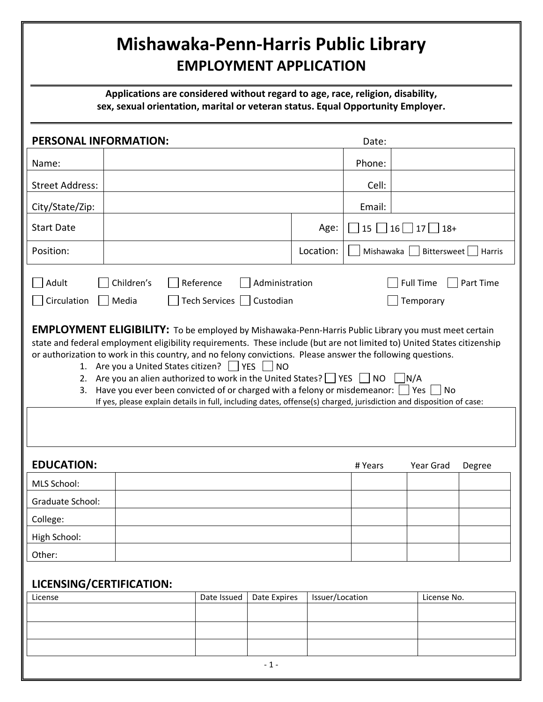## Mishawaka-Penn-Harris Public Library EMPLOYMENT APPLICATION

Applications are considered without regard to age, race, religion, disability, sex, sexual orientation, marital or veteran status. Equal Opportunity Employer.

| <b>PERSONAL INFORMATION:</b>                                                                                                                                                                                                                                                                                                                                                                                                                                                                                                                                                                                                                                                                                                                                                                                                                                                                           |  |             |              |                 | Date:     |                    |        |
|--------------------------------------------------------------------------------------------------------------------------------------------------------------------------------------------------------------------------------------------------------------------------------------------------------------------------------------------------------------------------------------------------------------------------------------------------------------------------------------------------------------------------------------------------------------------------------------------------------------------------------------------------------------------------------------------------------------------------------------------------------------------------------------------------------------------------------------------------------------------------------------------------------|--|-------------|--------------|-----------------|-----------|--------------------|--------|
| Name:                                                                                                                                                                                                                                                                                                                                                                                                                                                                                                                                                                                                                                                                                                                                                                                                                                                                                                  |  |             |              |                 | Phone:    |                    |        |
| <b>Street Address:</b>                                                                                                                                                                                                                                                                                                                                                                                                                                                                                                                                                                                                                                                                                                                                                                                                                                                                                 |  |             |              |                 | Cell:     |                    |        |
| City/State/Zip:                                                                                                                                                                                                                                                                                                                                                                                                                                                                                                                                                                                                                                                                                                                                                                                                                                                                                        |  |             |              |                 | Email:    |                    |        |
| <b>Start Date</b>                                                                                                                                                                                                                                                                                                                                                                                                                                                                                                                                                                                                                                                                                                                                                                                                                                                                                      |  |             |              | Age:            | 15        | $16$   17<br>$18+$ |        |
| Position:                                                                                                                                                                                                                                                                                                                                                                                                                                                                                                                                                                                                                                                                                                                                                                                                                                                                                              |  |             |              | Location:       | Mishawaka | Bittersweet        | Harris |
| Reference<br><b>Full Time</b><br>Adult<br>Children's<br>Administration<br>Part Time<br>Circulation<br>Tech Services  <br>Media<br>Custodian<br>Temporary<br><b>EMPLOYMENT ELIGIBILITY:</b> To be employed by Mishawaka-Penn-Harris Public Library you must meet certain<br>state and federal employment eligibility requirements. These include (but are not limited to) United States citizenship<br>or authorization to work in this country, and no felony convictions. Please answer the following questions.<br>1. Are you a United States citizen?     YES   NO<br>2. Are you an alien authorized to work in the United States? $\Box$ YES $\Box$ NO<br>$\vert$ N/A<br>Have you ever been convicted of or charged with a felony or misdemeanor: $\Box$ Yes $\Box$ No<br>3.<br>If yes, please explain details in full, including dates, offense(s) charged, jurisdiction and disposition of case: |  |             |              |                 |           |                    |        |
| <b>EDUCATION:</b>                                                                                                                                                                                                                                                                                                                                                                                                                                                                                                                                                                                                                                                                                                                                                                                                                                                                                      |  |             |              |                 | # Years   | Year Grad          | Degree |
| MLS School:                                                                                                                                                                                                                                                                                                                                                                                                                                                                                                                                                                                                                                                                                                                                                                                                                                                                                            |  |             |              |                 |           |                    |        |
| Graduate School:                                                                                                                                                                                                                                                                                                                                                                                                                                                                                                                                                                                                                                                                                                                                                                                                                                                                                       |  |             |              |                 |           |                    |        |
| College:                                                                                                                                                                                                                                                                                                                                                                                                                                                                                                                                                                                                                                                                                                                                                                                                                                                                                               |  |             |              |                 |           |                    |        |
| High School:<br>Other:                                                                                                                                                                                                                                                                                                                                                                                                                                                                                                                                                                                                                                                                                                                                                                                                                                                                                 |  |             |              |                 |           |                    |        |
| LICENSING/CERTIFICATION:                                                                                                                                                                                                                                                                                                                                                                                                                                                                                                                                                                                                                                                                                                                                                                                                                                                                               |  |             |              |                 |           |                    |        |
| License                                                                                                                                                                                                                                                                                                                                                                                                                                                                                                                                                                                                                                                                                                                                                                                                                                                                                                |  | Date Issued | Date Expires | Issuer/Location |           | License No.        |        |
|                                                                                                                                                                                                                                                                                                                                                                                                                                                                                                                                                                                                                                                                                                                                                                                                                                                                                                        |  |             |              |                 |           |                    |        |
|                                                                                                                                                                                                                                                                                                                                                                                                                                                                                                                                                                                                                                                                                                                                                                                                                                                                                                        |  |             |              |                 |           |                    |        |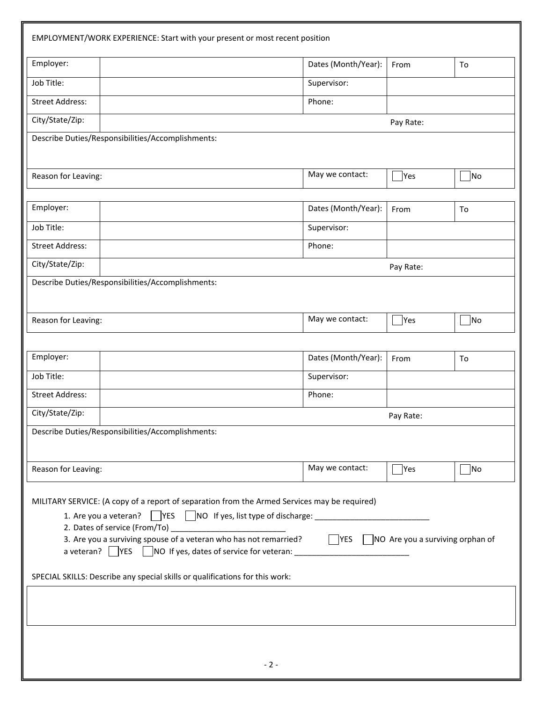| EMPLOYMENT/WORK EXPERIENCE: Start with your present or most recent position                                                                                                                                                                       |                                                                                  |                              |                                                    |
|---------------------------------------------------------------------------------------------------------------------------------------------------------------------------------------------------------------------------------------------------|----------------------------------------------------------------------------------|------------------------------|----------------------------------------------------|
| Employer:                                                                                                                                                                                                                                         | Dates (Month/Year):                                                              | From                         | To                                                 |
| Job Title:                                                                                                                                                                                                                                        | Supervisor:                                                                      |                              |                                                    |
| <b>Street Address:</b>                                                                                                                                                                                                                            | Phone:                                                                           |                              |                                                    |
| City/State/Zip:                                                                                                                                                                                                                                   |                                                                                  | Pay Rate:                    |                                                    |
| Describe Duties/Responsibilities/Accomplishments:                                                                                                                                                                                                 |                                                                                  |                              |                                                    |
| Reason for Leaving:                                                                                                                                                                                                                               | May we contact:                                                                  | $\overline{\phantom{a}}$ Yes | $\neg$ No                                          |
| Employer:                                                                                                                                                                                                                                         | Dates (Month/Year):                                                              | From                         | To                                                 |
| Job Title:                                                                                                                                                                                                                                        | Supervisor:                                                                      |                              |                                                    |
| <b>Street Address:</b>                                                                                                                                                                                                                            | Phone:                                                                           |                              |                                                    |
| City/State/Zip:                                                                                                                                                                                                                                   |                                                                                  | Pay Rate:                    |                                                    |
| Describe Duties/Responsibilities/Accomplishments:                                                                                                                                                                                                 |                                                                                  |                              |                                                    |
| Reason for Leaving:                                                                                                                                                                                                                               | May we contact:                                                                  | $\mathsf{Yes}$               | $\n  1$ No                                         |
| Employer:                                                                                                                                                                                                                                         | Dates (Month/Year):                                                              | From                         | To                                                 |
| Job Title:                                                                                                                                                                                                                                        | Supervisor:                                                                      |                              |                                                    |
| <b>Street Address:</b>                                                                                                                                                                                                                            | Phone:                                                                           |                              |                                                    |
| City/State/Zip:<br>Pay Rate:                                                                                                                                                                                                                      |                                                                                  |                              |                                                    |
| Describe Duties/Responsibilities/Accomplishments:                                                                                                                                                                                                 |                                                                                  |                              |                                                    |
| Reason for Leaving:                                                                                                                                                                                                                               | May we contact:                                                                  | Yes                          | No                                                 |
| MILITARY SERVICE: (A copy of a report of separation from the Armed Services may be required)<br>3. Are you a surviving spouse of a veteran who has not remarried?<br>SPECIAL SKILLS: Describe any special skills or qualifications for this work: | a veteran? VES NO If yes, dates of service for veteran: ________________________ |                              | $\Box$ YES $\Box$ NO Are you a surviving orphan of |
|                                                                                                                                                                                                                                                   |                                                                                  |                              |                                                    |
|                                                                                                                                                                                                                                                   | $-2-$                                                                            |                              |                                                    |